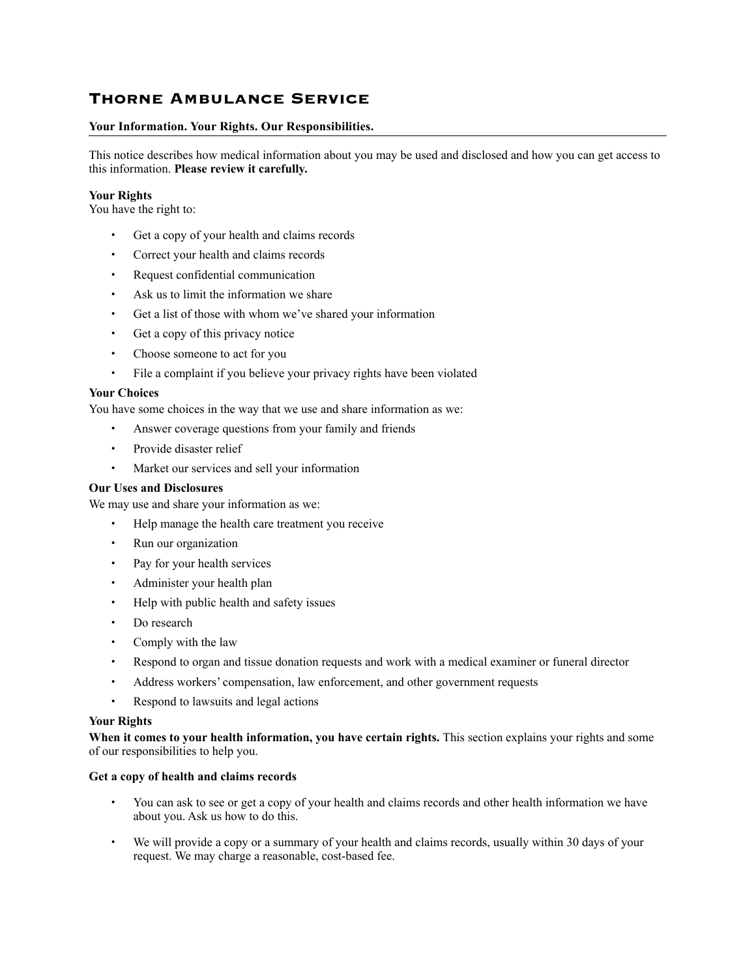# **Thorne Ambulance Service**

## **Your Information. Your Rights. Our Responsibilities.**

This notice describes how medical information about you may be used and disclosed and how you can get access to this information. **Please review it carefully.**

## **Your Rights**

You have the right to:

- Get a copy of your health and claims records
- Correct your health and claims records
- Request confidential communication
- Ask us to limit the information we share
- Get a list of those with whom we've shared your information
- Get a copy of this privacy notice
- Choose someone to act for you
- File a complaint if you believe your privacy rights have been violated

## **Your Choices**

You have some choices in the way that we use and share information as we:

- Answer coverage questions from your family and friends
- Provide disaster relief
- Market our services and sell your information

## **Our Uses and Disclosures**

We may use and share your information as we:

- Help manage the health care treatment you receive
- Run our organization
- Pay for your health services
- Administer your health plan
- Help with public health and safety issues
- Do research
- Comply with the law
- Respond to organ and tissue donation requests and work with a medical examiner or funeral director
- Address workers' compensation, law enforcement, and other government requests
- Respond to lawsuits and legal actions

#### **Your Rights**

**When it comes to your health information, you have certain rights.** This section explains your rights and some of our responsibilities to help you.

#### **Get a copy of health and claims records**

- You can ask to see or get a copy of your health and claims records and other health information we have about you. Ask us how to do this.
- We will provide a copy or a summary of your health and claims records, usually within 30 days of your request. We may charge a reasonable, cost-based fee.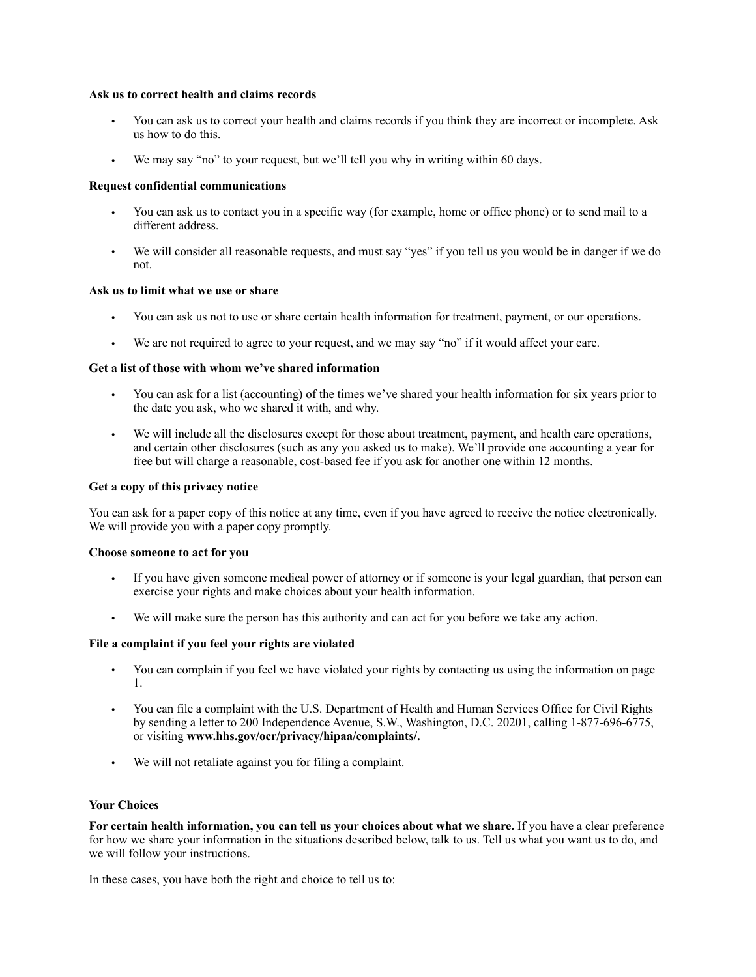### **Ask us to correct health and claims records**

- You can ask us to correct your health and claims records if you think they are incorrect or incomplete. Ask us how to do this.
- We may say "no" to your request, but we'll tell you why in writing within 60 days.

### **Request confidential communications**

- You can ask us to contact you in a specific way (for example, home or office phone) or to send mail to a different address.
- We will consider all reasonable requests, and must say "yes" if you tell us you would be in danger if we do not.

## **Ask us to limit what we use or share**

- You can ask us not to use or share certain health information for treatment, payment, or our operations.
- We are not required to agree to your request, and we may say "no" if it would affect your care.

#### **Get a list of those with whom we've shared information**

- You can ask for a list (accounting) of the times we've shared your health information for six years prior to the date you ask, who we shared it with, and why.
- We will include all the disclosures except for those about treatment, payment, and health care operations, and certain other disclosures (such as any you asked us to make). We'll provide one accounting a year for free but will charge a reasonable, cost-based fee if you ask for another one within 12 months.

## **Get a copy of this privacy notice**

You can ask for a paper copy of this notice at any time, even if you have agreed to receive the notice electronically. We will provide you with a paper copy promptly.

#### **Choose someone to act for you**

- If you have given someone medical power of attorney or if someone is your legal guardian, that person can exercise your rights and make choices about your health information.
- We will make sure the person has this authority and can act for you before we take any action.

#### **File a complaint if you feel your rights are violated**

- You can complain if you feel we have violated your rights by contacting us using the information on page 1.
- You can file a complaint with the U.S. Department of Health and Human Services Office for Civil Rights by sending a letter to 200 Independence Avenue, S.W., Washington, D.C. 20201, calling 1-877-696-6775, or visiting **www.hhs.gov/ocr/privacy/hipaa/complaints/.**
- We will not retaliate against you for filing a complaint.

#### **Your Choices**

**For certain health information, you can tell us your choices about what we share.** If you have a clear preference for how we share your information in the situations described below, talk to us. Tell us what you want us to do, and we will follow your instructions.

In these cases, you have both the right and choice to tell us to: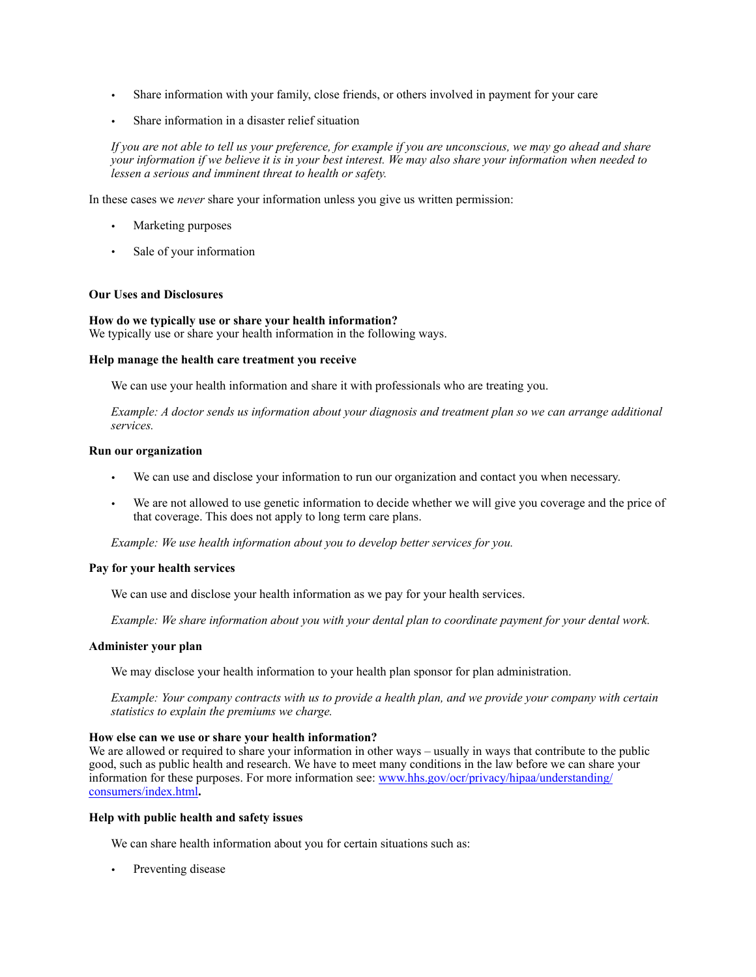- Share information with your family, close friends, or others involved in payment for your care
- Share information in a disaster relief situation

*If you are not able to tell us your preference, for example if you are unconscious, we may go ahead and share your information if we believe it is in your best interest. We may also share your information when needed to lessen a serious and imminent threat to health or safety.* 

In these cases we *never* share your information unless you give us written permission:

- Marketing purposes
- Sale of your information

## **Our Uses and Disclosures**

#### **How do we typically use or share your health information?**

We typically use or share your health information in the following ways.

## **Help manage the health care treatment you receive**

We can use your health information and share it with professionals who are treating you.

*Example: A doctor sends us information about your diagnosis and treatment plan so we can arrange additional services.* 

#### **Run our organization**

- We can use and disclose your information to run our organization and contact you when necessary.
- We are not allowed to use genetic information to decide whether we will give you coverage and the price of that coverage. This does not apply to long term care plans.

*Example: We use health information about you to develop better services for you.* 

#### **Pay for your health services**

We can use and disclose your health information as we pay for your health services.

*Example: We share information about you with your dental plan to coordinate payment for your dental work.* 

#### **Administer your plan**

We may disclose your health information to your health plan sponsor for plan administration.

*Example: Your company contracts with us to provide a health plan, and we provide your company with certain statistics to explain the premiums we charge.*

#### **How else can we use or share your health information?**

We are allowed or required to share your information in other ways – usually in ways that contribute to the public good, such as public health and research. We have to meet many conditions in the law before we can share your information for these purposes. For more information see: [www.hhs.gov/ocr/privacy/hipaa/understanding/](http://www.hhs.gov/ocr/privacy/hipaa/understanding/consumers/index.html) [consumers/index.html](http://www.hhs.gov/ocr/privacy/hipaa/understanding/consumers/index.html)**.** 

#### **Help with public health and safety issues**

We can share health information about you for certain situations such as:

Preventing disease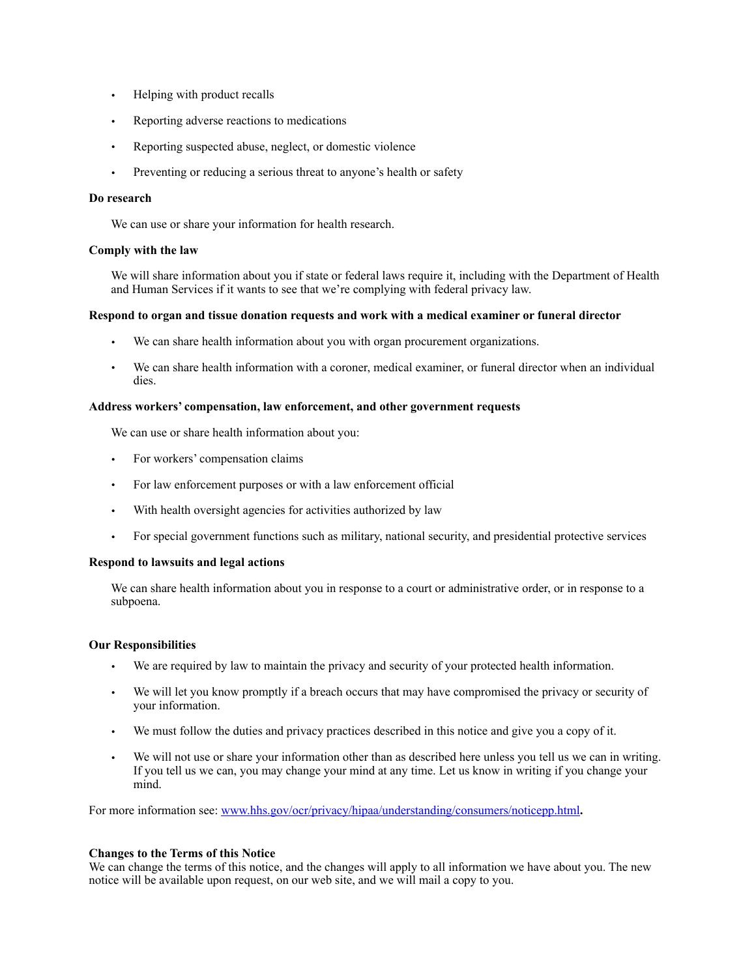- Helping with product recalls
- Reporting adverse reactions to medications
- Reporting suspected abuse, neglect, or domestic violence
- Preventing or reducing a serious threat to anyone's health or safety

#### **Do research**

We can use or share your information for health research.

#### **Comply with the law**

We will share information about you if state or federal laws require it, including with the Department of Health and Human Services if it wants to see that we're complying with federal privacy law.

#### **Respond to organ and tissue donation requests and work with a medical examiner or funeral director**

- We can share health information about you with organ procurement organizations.
- We can share health information with a coroner, medical examiner, or funeral director when an individual dies.

#### **Address workers' compensation, law enforcement, and other government requests**

We can use or share health information about you:

- For workers' compensation claims
- For law enforcement purposes or with a law enforcement official
- With health oversight agencies for activities authorized by law
- For special government functions such as military, national security, and presidential protective services

### **Respond to lawsuits and legal actions**

We can share health information about you in response to a court or administrative order, or in response to a subpoena.

#### **Our Responsibilities**

- We are required by law to maintain the privacy and security of your protected health information.
- We will let you know promptly if a breach occurs that may have compromised the privacy or security of your information.
- We must follow the duties and privacy practices described in this notice and give you a copy of it.
- We will not use or share your information other than as described here unless you tell us we can in writing. If you tell us we can, you may change your mind at any time. Let us know in writing if you change your mind.

For more information see: [www.hhs.gov/ocr/privacy/hipaa/understanding/consumers/noticepp.html](http://www.hhs.gov/ocr/privacy/hipaa/understanding/consumers/noticepp.html)**.** 

#### **Changes to the Terms of this Notice**

We can change the terms of this notice, and the changes will apply to all information we have about you. The new notice will be available upon request, on our web site, and we will mail a copy to you.